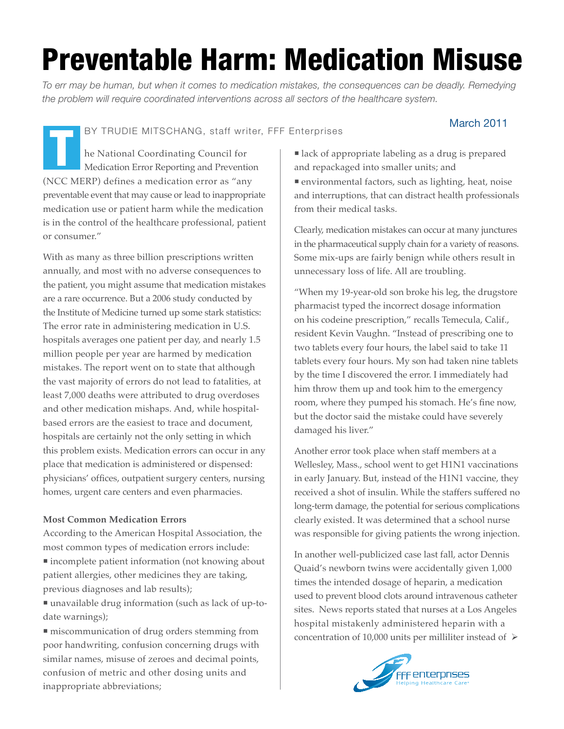# Preventable Harm: Medication Misuse

*To err may be human, but when it comes to medication mistakes, the consequences can be deadly. Remedying the problem will require coordinated interventions across all sectors of the healthcare system.*

BY TRUDIE MITSCHANG, staff writer, FFF Enterprises

## March 2011

he National Coordinating Council for Medication Error Reporting and Prevention (NCC MERP) defines a medication error as "any preventable event that may cause or lead to inappropriate medication use or patient harm while the medication is in the control of the healthcare professional, patient or consumer." T

With as many as three billion prescriptions written annually, and most with no adverse consequences to the patient, you might assume that medication mistakes are a rare occurrence. But a 2006 study conducted by the Institute of Medicine turned up some stark statistics: The error rate in administering medication in U.S. hospitals averages one patient per day, and nearly 1.5 million people per year are harmed by medication mistakes. The report went on to state that although the vast majority of errors do not lead to fatalities, at least 7,000 deaths were attributed to drug overdoses and other medication mishaps. And, while hospitalbased errors are the easiest to trace and document, hospitals are certainly not the only setting in which this problem exists. Medication errors can occur in any place that medication is administered or dispensed: physicians' offices, outpatient surgery centers, nursing homes, urgent care centers and even pharmacies.

#### **Most Common Medication Errors**

According to the American Hospital Association, the most common types of medication errors include:

 incomplete patient information (not knowing about patient allergies, other medicines they are taking, previous diagnoses and lab results);

 unavailable drug information (such as lack of up-todate warnings);

 miscommunication of drug orders stemming from poor handwriting, confusion concerning drugs with similar names, misuse of zeroes and decimal points, confusion of metric and other dosing units and inappropriate abbreviations;

 lack of appropriate labeling as a drug is prepared and repackaged into smaller units; and environmental factors, such as lighting, heat, noise and interruptions, that can distract health professionals from their medical tasks.

Clearly, medication mistakes can occur at many junctures in the pharmaceutical supply chain for a variety of reasons. Some mix-ups are fairly benign while others result in unnecessary loss of life. All are troubling.

"When my 19-year-old son broke his leg, the drugstore pharmacist typed the incorrect dosage information on his codeine prescription," recalls Temecula, Calif., resident Kevin Vaughn. "Instead of prescribing one to two tablets every four hours, the label said to take 11 tablets every four hours. My son had taken nine tablets by the time I discovered the error. I immediately had him throw them up and took him to the emergency room, where they pumped his stomach. He's fine now, but the doctor said the mistake could have severely damaged his liver."

Another error took place when staff members at a Wellesley, Mass., school went to get H1N1 vaccinations in early January. But, instead of the H1N1 vaccine, they received a shot of insulin. While the staffers suffered no long-term damage, the potential for serious complications clearly existed. It was determined that a school nurse was responsible for giving patients the wrong injection.

In another well-publicized case last fall, actor Dennis Quaid's newborn twins were accidentally given 1,000 times the intended dosage of heparin, a medication used to prevent blood clots around intravenous catheter sites. News reports stated that nurses at a Los Angeles hospital mistakenly administered heparin with a concentration of 10,000 units per milliliter instead of  $\triangleright$ 

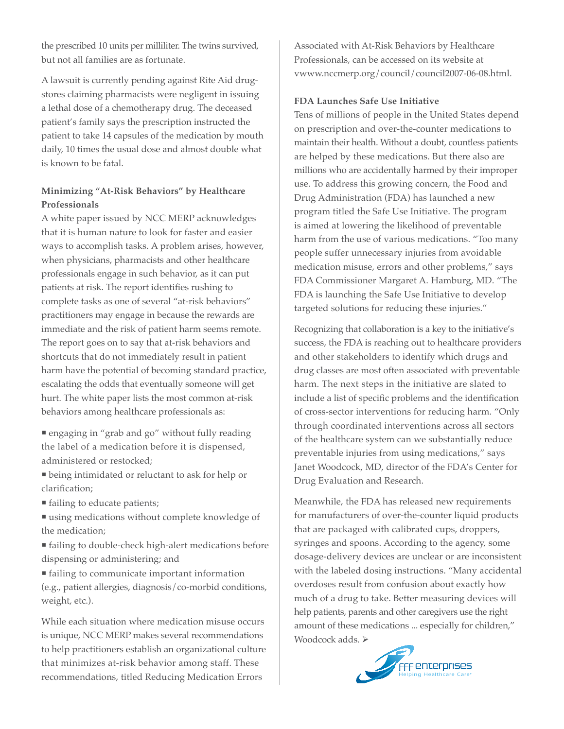the prescribed 10 units per milliliter. The twins survived, but not all families are as fortunate.

A lawsuit is currently pending against Rite Aid drugstores claiming pharmacists were negligent in issuing a lethal dose of a chemotherapy drug. The deceased patient's family says the prescription instructed the patient to take 14 capsules of the medication by mouth daily, 10 times the usual dose and almost double what is known to be fatal.

### **Minimizing "At-Risk Behaviors" by Healthcare Professionals**

A white paper issued by NCC MERP acknowledges that it is human nature to look for faster and easier ways to accomplish tasks. A problem arises, however, when physicians, pharmacists and other healthcare professionals engage in such behavior, as it can put patients at risk. The report identifies rushing to complete tasks as one of several "at-risk behaviors" practitioners may engage in because the rewards are immediate and the risk of patient harm seems remote. The report goes on to say that at-risk behaviors and shortcuts that do not immediately result in patient harm have the potential of becoming standard practice, escalating the odds that eventually someone will get hurt. The white paper lists the most common at-risk behaviors among healthcare professionals as:

 engaging in "grab and go" without fully reading the label of a medication before it is dispensed, administered or restocked;

 being intimidated or reluctant to ask for help or clarification;

■ failing to educate patients;

 using medications without complete knowledge of the medication;

 failing to double-check high-alert medications before dispensing or administering; and

 failing to communicate important information (e.g., patient allergies, diagnosis/co-morbid conditions, weight, etc.).

While each situation where medication misuse occurs is unique, NCC MERP makes several recommendations to help practitioners establish an organizational culture that minimizes at-risk behavior among staff. These recommendations, titled Reducing Medication Errors

Associated with At-Risk Behaviors by Healthcare Professionals, can be accessed on its website at vwww.nccmerp.org/council/council2007-06-08.html.

#### **FDA Launches Safe Use Initiative**

Tens of millions of people in the United States depend on prescription and over-the-counter medications to maintain their health. Without a doubt, countless patients are helped by these medications. But there also are millions who are accidentally harmed by their improper use. To address this growing concern, the Food and Drug Administration (FDA) has launched a new program titled the Safe Use Initiative. The program is aimed at lowering the likelihood of preventable harm from the use of various medications. "Too many people suffer unnecessary injuries from avoidable medication misuse, errors and other problems," says FDA Commissioner Margaret A. Hamburg, MD. "The FDA is launching the Safe Use Initiative to develop targeted solutions for reducing these injuries."

Recognizing that collaboration is a key to the initiative's success, the FDA is reaching out to healthcare providers and other stakeholders to identify which drugs and drug classes are most often associated with preventable harm. The next steps in the initiative are slated to include a list of specific problems and the identification of cross-sector interventions for reducing harm. "Only through coordinated interventions across all sectors of the healthcare system can we substantially reduce preventable injuries from using medications," says Janet Woodcock, MD, director of the FDA's Center for Drug Evaluation and Research.

Meanwhile, the FDA has released new requirements for manufacturers of over-the-counter liquid products that are packaged with calibrated cups, droppers, syringes and spoons. According to the agency, some dosage-delivery devices are unclear or are inconsistent with the labeled dosing instructions. "Many accidental overdoses result from confusion about exactly how much of a drug to take. Better measuring devices will help patients, parents and other caregivers use the right amount of these medications ... especially for children," Woodcock adds.